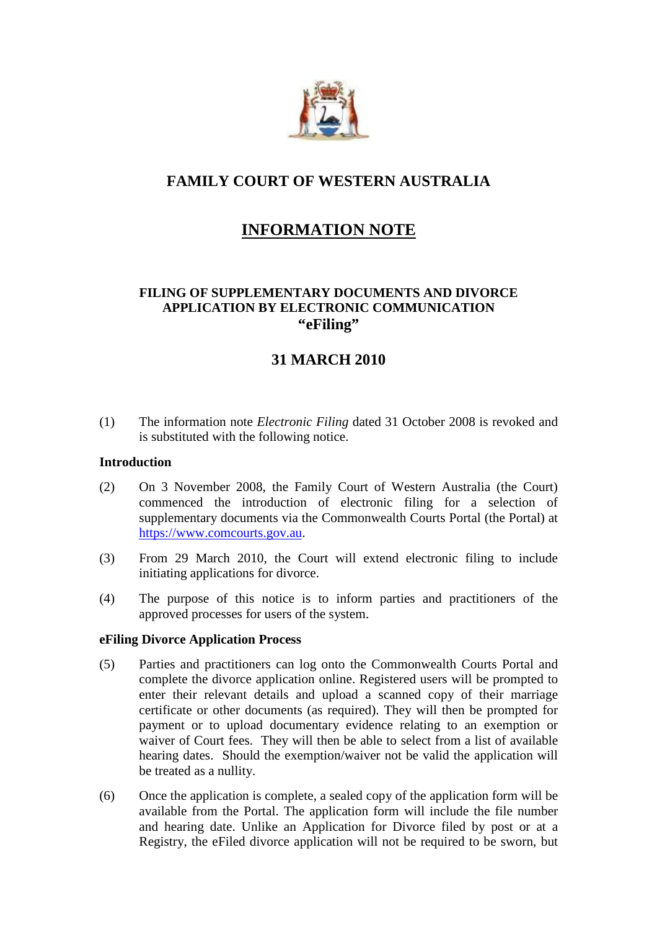

# **FAMILY COURT OF WESTERN AUSTRALIA**

# **INFORMATION NOTE**

# **FILING OF SUPPLEMENTARY DOCUMENTS AND DIVORCE APPLICATION BY ELECTRONIC COMMUNICATION "eFiling"**

# **31 MARCH 2010**

(1) The information note *Electronic Filing* dated 31 October 2008 is revoked and is substituted with the following notice.

# **Introduction**

- (2) On 3 November 2008, the Family Court of Western Australia (the Court) commenced the introduction of electronic filing for a selection of supplementary documents via the Commonwealth Courts Portal (the Portal) at https://www.comcourts.gov.au.
- (3) From 29 March 2010, the Court will extend electronic filing to include initiating applications for divorce.
- (4) The purpose of this notice is to inform parties and practitioners of the approved processes for users of the system.

### **eFiling Divorce Application Process**

- (5) Parties and practitioners can log onto the Commonwealth Courts Portal and complete the divorce application online. Registered users will be prompted to enter their relevant details and upload a scanned copy of their marriage certificate or other documents (as required). They will then be prompted for payment or to upload documentary evidence relating to an exemption or waiver of Court fees. They will then be able to select from a list of available hearing dates. Should the exemption/waiver not be valid the application will be treated as a nullity.
- (6) Once the application is complete, a sealed copy of the application form will be available from the Portal. The application form will include the file number and hearing date. Unlike an Application for Divorce filed by post or at a Registry, the eFiled divorce application will not be required to be sworn, but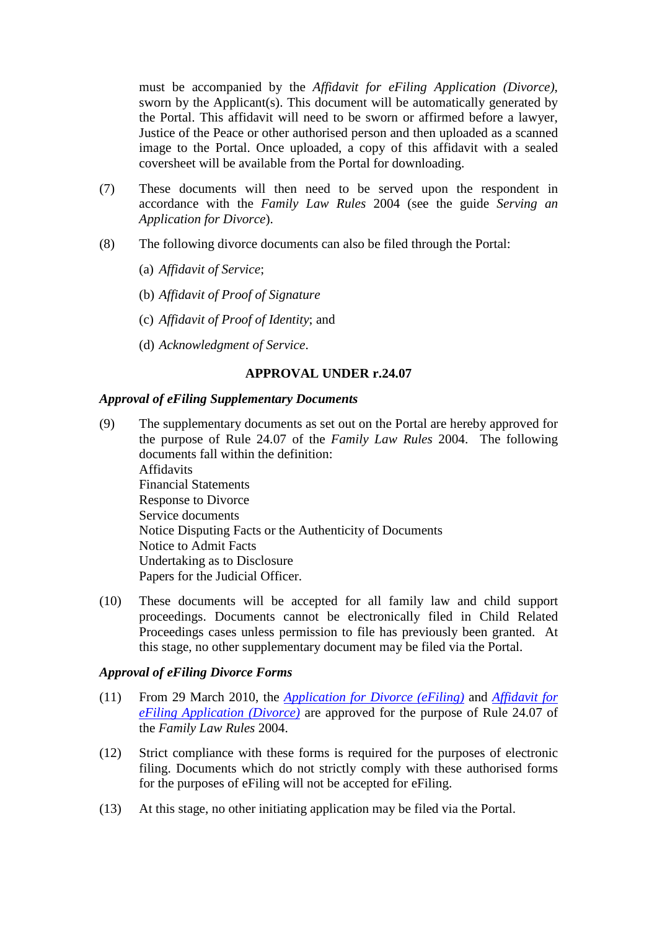must be accompanied by the *Affidavit for eFiling Application (Divorce)*, sworn by the Applicant(s). This document will be automatically generated by the Portal. This affidavit will need to be sworn or affirmed before a lawyer, Justice of the Peace or other authorised person and then uploaded as a scanned image to the Portal. Once uploaded, a copy of this affidavit with a sealed coversheet will be available from the Portal for downloading.

- (7) These documents will then need to be served upon the respondent in accordance with the *Family Law Rules* 2004 (see the guide *Serving an Application for Divorce*).
- (8) The following divorce documents can also be filed through the Portal:
	- (a) *Affidavit of Service*;
	- (b) *Affidavit of Proof of Signature*
	- (c) *Affidavit of Proof of Identity*; and
	- (d) *Acknowledgment of Service*.

### **APPROVAL UNDER r.24.07**

#### *Approval of eFiling Supplementary Documents*

- (9) The supplementary documents as set out on the Portal are hereby approved for the purpose of Rule 24.07 of the *Family Law Rules* 2004. The following documents fall within the definition: Affidavits Financial Statements Response to Divorce Service documents Notice Disputing Facts or the Authenticity of Documents Notice to Admit Facts Undertaking as to Disclosure Papers for the Judicial Officer.
- (10) These documents will be accepted for all family law and child support proceedings. Documents cannot be electronically filed in Child Related Proceedings cases unless permission to file has previously been granted. At this stage, no other supplementary document may be filed via the Portal.

### *Approval of eFiling Divorce Forms*

- (11) From 29 March 2010, the *[Application for Divorce \(eFiling\)](http://www.familycourt.wa.gov.au/_files/FCWA_AppDiv_form_310310_web.pdf)* and *Affidavit for eFiling Application (Divorce)* [are approved for the purpose of Rule 24.07 of](http://www.familycourt.wa.gov.au/_files/FCWA_affidavit_efiling_web.pdf) the *Family Law Rules* 2004.
- (12) Strict compliance with these forms is required for the purposes of electronic filing. Documents which do not strictly comply with these authorised forms for the purposes of eFiling will not be accepted for eFiling.
- (13) At this stage, no other initiating application may be filed via the Portal.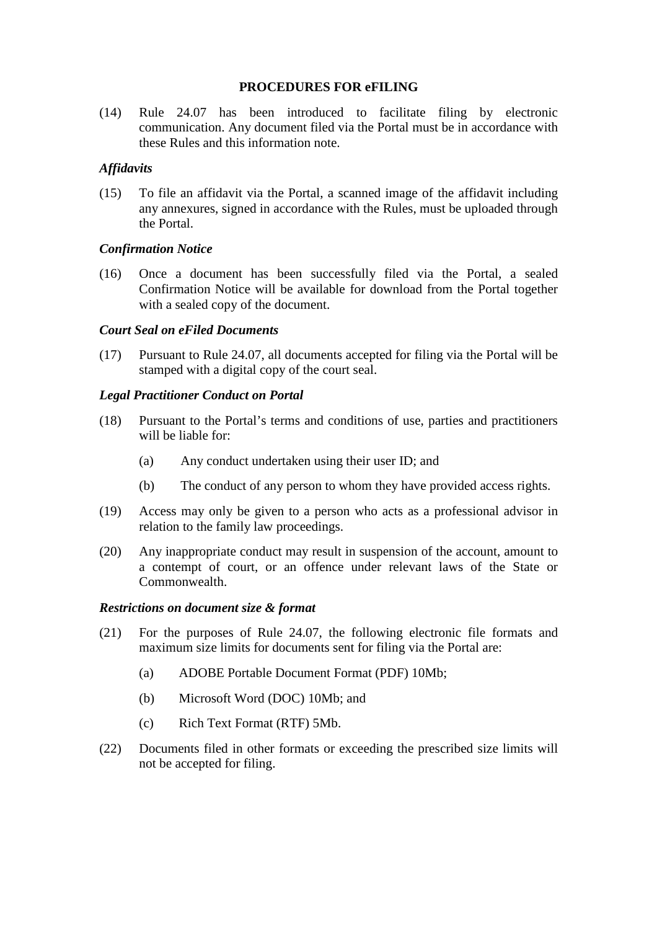### **PROCEDURES FOR eFILING**

(14) Rule 24.07 has been introduced to facilitate filing by electronic communication. Any document filed via the Portal must be in accordance with these Rules and this information note.

# *Affidavits*

(15) To file an affidavit via the Portal, a scanned image of the affidavit including any annexures, signed in accordance with the Rules, must be uploaded through the Portal.

# *Confirmation Notice*

(16) Once a document has been successfully filed via the Portal, a sealed Confirmation Notice will be available for download from the Portal together with a sealed copy of the document.

### *Court Seal on eFiled Documents*

(17) Pursuant to Rule 24.07, all documents accepted for filing via the Portal will be stamped with a digital copy of the court seal.

### *Legal Practitioner Conduct on Portal*

- (18) Pursuant to the Portal's terms and conditions of use, parties and practitioners will be liable for:
	- (a) Any conduct undertaken using their user ID; and
	- (b) The conduct of any person to whom they have provided access rights.
- (19) Access may only be given to a person who acts as a professional advisor in relation to the family law proceedings.
- (20) Any inappropriate conduct may result in suspension of the account, amount to a contempt of court, or an offence under relevant laws of the State or Commonwealth.

### *Restrictions on document size & format*

- (21) For the purposes of Rule 24.07, the following electronic file formats and maximum size limits for documents sent for filing via the Portal are:
	- (a) ADOBE Portable Document Format (PDF) 10Mb;
	- (b) Microsoft Word (DOC) 10Mb; and
	- (c) Rich Text Format (RTF) 5Mb.
- (22) Documents filed in other formats or exceeding the prescribed size limits will not be accepted for filing.